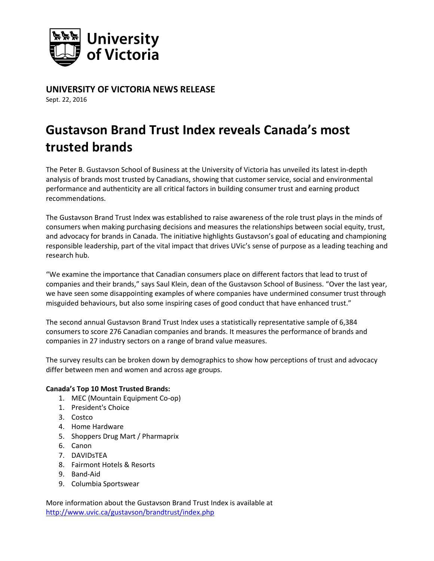

**UNIVERSITY OF VICTORIA NEWS RELEASE** 

Sept. 22, 2016

## **Gustavson Brand Trust Index reveals Canada's most trusted brands**

The Peter B. Gustavson School of Business at the University of Victoria has unveiled its latest in-depth analysis of brands most trusted by Canadians, showing that customer service, social and environmental performance and authenticity are all critical factors in building consumer trust and earning product recommendations.

The Gustavson Brand Trust Index was established to raise awareness of the role trust plays in the minds of consumers when making purchasing decisions and measures the relationships between social equity, trust, and advocacy for brands in Canada. The initiative highlights Gustavson's goal of educating and championing responsible leadership, part of the vital impact that drives UVic's sense of purpose as a leading teaching and research hub.

"We examine the importance that Canadian consumers place on different factors that lead to trust of companies and their brands," says Saul Klein, dean of the Gustavson School of Business. "Over the last year, we have seen some disappointing examples of where companies have undermined consumer trust through misguided behaviours, but also some inspiring cases of good conduct that have enhanced trust."

The second annual Gustavson Brand Trust Index uses a statistically representative sample of 6,384 consumers to score 276 Canadian companies and brands. It measures the performance of brands and companies in 27 industry sectors on a range of brand value measures.

The survey results can be broken down by demographics to show how perceptions of trust and advocacy differ between men and women and across age groups.

## **Canada's Top 10 Most Trusted Brands:**

- 1. MEC (Mountain Equipment Co-op)
- 1. President's Choice
- 3. Costco
- 4. Home Hardware
- 5. Shoppers Drug Mart / Pharmaprix
- 6. Canon
- 7. DAVIDsTEA
- 8. Fairmont Hotels & Resorts
- 9. Band-Aid
- 9. Columbia Sportswear

More information about the Gustavson Brand Trust Index is available at <http://www.uvic.ca/gustavson/brandtrust/index.php>